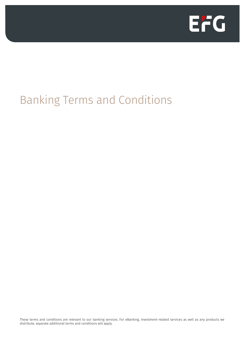

# Banking Terms and Conditions

These terms and conditions are relevant to our banking services. For eBanking, investment-related services as well as any products we distribute, separate additional terms and conditions will apply.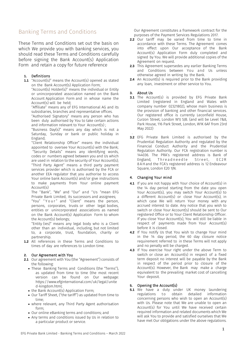# Banking Terms and Conditions

These Terms and Conditions set out the basis on which We provide you with banking services, you should read these Terms and Conditions carefully before signing the Bank Account(s) Application Form and retain a copy for future reference

# **1.** Definitions

**1.1** "Account(s)" means the Account(s) opened as stated on the Bank Account(s) Application Form;

"Account(s) Holder(s)" means the individual or Entity or unincorporated association named on the Bank Account Application Form and in whose name the Account(s) will be held;

"Affiliate" means any of EFG International AG and its subsidiaries, branches and representative offices.

"Authorised Signatory" means any person who has been duly authorised by You to take certain actions and information relevant to Your Account(s) ;

"Business Day(s)" means any day which is not a Saturday, Sunday or bank or public holiday in England;

"Client Relationship Officer" means the individual appointed to oversee Your Account(s) with the Bank; "Security Details" means any identifying words, codes or numbers agreed between you and Us which are used in relation to the security of Your Account(s); "Third Party Agent" means a third party payment services provider which is authorised by the FCA or another EEA regulator that you authorise to access Your online bank Account(s) and/or give instructions to make payments from Your online payment Account(s)

The "Bank", "We" and "Our" and "Us "mean EFG Private Bank Limited, its successors and assignees;

"You" "Your" and "Client" means the person, persons, corporates, trusts or other legal bodies, entities or unincorporated associations as named on the Bank Account(s) Application Form to whom the Account(s) belongs;

"Entity (ies)" means any legal body who is a Client other than an individual, including, but not limited to, a corporate, trust, foundation, charity or partnership.

**1.2** All references in these Terms and Conditions to times of day are references to London time.

#### **2.** Our Agreement with You

- **2.1** Our agreement with You (the "Agreement") consists of the following:
	- These Banking Terms and Conditions (the "Terms"), as updated from time to time (the most recent version can be found on Our webpage: https://www.efginternational.com/uk/legal/unite d-kingdom.html;
	- the Bank Account(s) Application Form;
	- Our Tariff Sheet, ("the tariff") as updated from time to time;
	- where relevant, any Third Party Agent authorisation form;
	- Our online eBanking terms and conditions; and
	- Any terms and conditions issued by Us in relation to a particular product or service.

Our Agreement constitutes a framework contract for the purposes of the Payment Services Regulations 2017.

- **2.2** Our tariff may be varied from time to time in accordance with these Terms. The Agreement comes into effect upon Our acceptance of the Bank Account(s) Application Form duly completed and signed by You. We will provide additional copies of the Agreement on request.
- **2.3** This Agreement supersedes any earlier Banking Terms and Conditions between You and Us unless otherwise agreed in writing by the Bank.
- **2.4** An Account(s) is required prior to the Bank providing any loan, investment or other service to You.

#### **3.** About Us

- **3.1** The Account(s) is provided by EFG Private Bank Limited (registered in England and Wales with company number 02321802), whose main business is the provision of banking and other financial services. Our registered office is currently Leconfield House, Curzon Street, London W1J 5JB. (and will be Level 7&8, Park House, 116 Park Street, London, W1K 6AF from 23rd May 2022)
- . **3.2** EFG Private Bank Limited is authorised by the Prudential Regulation Authority and regulated by the Financial Conduct Authority and the Prudential Regulation Authority. Our FCA registration number is 144036. The PRA's registered address is Bank of Threadneedle 8AH and the FCA's registered address is 12 Endeavour Square, London E20 1JN.

# **4.** Changing Your mind

- **4.1** If you are not happy with Your choice of Account(s) in the 14 day period starting from the date you open Your Account(s), you may switch Your Account(s) to a different Account(s) or close Your Account(s), in which case We will return Your money with any accrued interest to date. Any notice that you wish to switch or close Your Account(s) should be sent to Our registered Office or to Your Client Relationship Officer. If you close Your Account(s), You will still be liable in respect of payments made from Your Account(s) before it is closed.
- **4.2** If You notify Us that You wish to change Your mind in the 14 day period, the 60 day closure notice requirement referred to in these Terms will not apply and no penalty will be charged.
- **4.3** If You exercise Your right under the above Term to switch or close an Account(s) in respect of a fixed term deposit no interest will be payable by the Bank in respect of the period prior to closure of the Account(s). However, the Bank may make a charge equivalent to the prevailing market cost of cancelling Your deposit.

# **5.** Opening the Account(s)

**5.1** We have a duty under UK money laundering regulations to obtain detailed information concerning persons who wish to open an Account(s) with Us. Please note that We are unable to open an Account(s) for You until We have received certain required information and related documents which We will ask You to provide and satisfied ourselves that We have met Our obligations under the above regulations.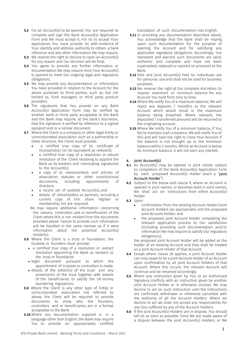- **5.2** For an Account(s) to be opened, You are required to complete and sign the Bank Account(s) Application Form and We must accept it. For Us to accept Your application, You must provide Us with evidence of Your identity and address, authority to obtain a bank reference and any other information We may require.
- **5.3** We reserve the right to decline to open an Account(s) for any reason and Our decision will be final.
- **5.4** You agree to provide any further information or documentation We may require once Your Account(s) is opened to meet Our ongoing legal and regulatory obligations.
- **5.5** We may provide any documentation or information You have provided in relation to the Account for the above purposes to third parties, such as, but not limited to, fund managers or third party product providers.
- **5.6** The signatures that You provide on any Bank Account(s) Application Form may be verified by another bank or third party acceptable to the Bank and the Bank may require, at the bank's discretion, that the signature is verified by reference to a signed passport and or a similar document.
- **5.7** Where the Client is a company or other legal Entity or unincorporated association such as a partnership or other structure, the Client must provide:
	- a certified true copy of its certificate of incorporation (or its equivalent as relevant);
	- a certified true copy of a resolution or extract resolution of the Client resolving to appoint the Bank as its bankers and nominating signatories to the Account(s);
	- a copy of its memorandum and articles of association, statutes or other constitutional<br>documents, including appointments of documents, including appointments directors;
	- a recent set of audited Account(s); and
	- details of shareholders or partners, including a current copy of the share register or membership list are required.
	- We may require additional information concerning the owners, controllers and or beneficiaries of the Client where this is not evident from the documents provided above. Failure to provide such information will be handled in the same manner as if it were information about the potential Account(s) Holder(s).
- **5.8** Where the Client is a trust or foundation, the trustees or founders must provide:
	- a certified true copy of a resolution or extract resolution appointing the Bank as bankers to the trust or foundation
	- legal document pursuant to which the appointment of trustees or controllers is made.
	- details of the settlor(s) of the trust and any protector(s) of the trust together with details of the beneficiaries to satisfy the UK money laundering regulations.
- **5.9** Where the Client is any other type of Entity or unincorporated association not referred to above, the Client will be required to provide documents to show who the founders, controllers and or beneficiaries are in a format acceptable to the Bank.
- **5.10** Where any documentation supplied is in a language other than English, the Bank may require You to provide an appropriately certified

translation of such documentation into English.

- **5.11** In providing any documentation described above, You acknowledge that the Bank shall be relying upon such documentation for the purpose of opening the Account and for satisfying any applicable regulatory obligations. Accordingly, You represent and warrant such documents are valid, authentic and complete and have not been superseded, replaced or expired on provision to the Bank.
- **5.12** Sole and joint Account(s) held by individuals are for personal use and shall not be used for business purposes.
- **5.13** We reserve the right at Our complete discretion to impose maximum or minimum balance for any Account You hold from time to time.
- **5.14** Where We notify You of a maximum balance, We will reject any deposits / transfers to the relevant Account which would result in the maximum balance being breached. Where relevant, the deposited / transferred amounts will be returned to the originating account.
- **5.15** Where We notify You of a minimum balance, if You fail to maintain such a balance, We will notify You of this and will have the right to close Your Account if the balance is not brought up to the minimum balance within 2 months. Whilst an Account is below its minimum balance, it will not earn any interest.

#### **6.** Joint Account(s)

- **6.1** An Account(s) may be opened in joint names subject to completion of the Bank Account(s) Application Form by each proposed Account(s) Holder (each a "joint Account Holder").
- **6.2** Subject to the below and clause 9, where an Account is opened in joint names, or becomes held in joint names, We shall act on instructions from either Account(s) Holder.
- **6.3** Upon:
	- confirmation from the existing Account Holder/joint Account Holders (as appropriate) and the proposed joint Account Holder; and
	- the proposed joint Account Holder completing the relevant application process to Our satisfaction (including providing such documentation and/or information We may require to satisfy Our regulatory obligations),

the proposed joint Account Holder will be added as the holder of an existing Account and they shall be treated as a Joint Account Holder of that Account.

- **6.4** Except where clause 26 applies, a joint Account Holder can only cease to be a joint Account Holder of an Account upon confirmation by all joint Account Holders of that Account. Where this occurs, the relevant Account will continue and be renamed accordingly.
- **6.5** Where any instruction given by You or an Authorised Signatory conflicts with an instruction given by another joint Account Holder or is otherwise unclear, We may decline to act on such instruction until the instructions are confirmed, withdrawn or otherwise cancelled with the authority of all the Account Holders. Where we decline to act we shall not accept any responsibility for any loss suffered by any of the Account Holders.
- **6.6** If the joint Account(s) Holders are in dispute, You should tell Us as soon as possible. Once We are made aware of a dispute between the joint Account(s) Holders, or We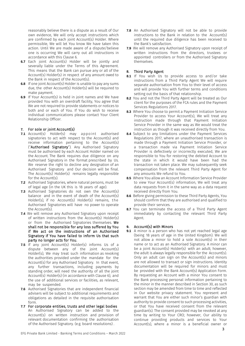reasonably believe there is a dispute as a result of Our own evidence, We will only accept instructions which are confirmed by each joint Account(s) Holder. Where permissible, We will let You know We have taken this action. Until We are made aware of a dispute/believe one is occurring We will carry out all instructions in accordance with this Clause 6.

- **6.7** Each joint Account(s) Holder will be jointly and severally liable under the Terms of this Agreement. This means that the Bank can pursue any or all of the Account(s) Holder(s) in respect of any amount owed to the Bank in respect of the Account(s).
- **6.8** If one joint Account(s) Holder is unable to pay any sums due, the other Account(s) Holder(s) will be required to make payment.
- **6.9** If Your Account(s) is held in joint names and We have provided You with an overdraft facility, You agree that We are not required to provide statements or notices to both and or each of You. If You do wish to receive individual communications please contact Your Client Relationship Officer.

## **7.** For sole or joint Account(s)

- **7.1** Account(s) Holder(s) may appoint authorised signatories to act with respect to the Account(s) and receive information pertaining to the Account(s) ("Authorised Signatory"). Any Authorised Signatory must be authorised by each Account Holder named on the Account. The Bank requires due diligence on any Authorised Signatory in the format prescribed by Us. We reserve the right to decline any designation of an Authorised Signatory and Our decision will be final. The Account(s) Holder(s) remains legally responsible for the Account(s).
- **7.2** Authorised Signatories, where natural persons, must be of legal age (in the UK this is 18 years of age).
- **7.3** Authorised Signatories do not own the Account(s) balance and in the event of death of the Account(s) Holder(s), if no Account(s) Holder(s) remains, the Authorised Signatories will have no power to operate the Account(s).
- **7.4** We will remove any Authorised Signatory upon receipt of written instructions from the Account(s) Holder(s) or from the Authorised Signatories themselves. We shall not be responsible for any loss suffered by You if We act on the instructions of an Authorised Signatory if You have failed to inform Us that such party no longer acts for You.
- **7.5** If any joint Account(s) Holder(s) informs Us of a dispute between any of the joint Account(s) Holder(s), We may treat such information as revoking the authorities provided under the mandate for the Account(s) for any Authorised Signatory. In that event, any further transactions, including payments by standing order, will need the authority of all the joint Account(s) Holder(s) (in accordance with Clause 6), and the use of additional services or facilities, as relevant, may be suspended.
- **7.6** Authorised Signatories that are independent financial advisers will be subject to additional requirements and obligations as detailed in the requisite authorisation form.
- **7.7** For corporate entities, trusts and other legal bodies An Authorised Signatory can be added to the Account(s) on written instruction and provision of relevant documentation confirming the authorisation of the Authorised Signatory. (e.g. board resolutions) .
- **7.8** An Authorised Signatory will not be able to provide instructions to the Bank in relation to the Account(s) until the required due diligence has been received to the Bank's satisfaction.
- **7.9** We will remove any Authorised Signatory upon receipt of written instructions from the directors, trustees or appointed controllers or from the Authorised Signatory themselves.

## **8.** Third Party Agent

- **8.1** If You wish Us to provide access to and/or take instructions from a Third Party Agent We will require separate authorisation from You to their level of access and will provide You with further terms and conditions setting out the basis of that relationship.
- **8.2** You and not the Third Party Agent will be treated as Our client for the purposes of the FCA rules and the Payment Services Regulations 2017.
- **8.3** Where You choose to permit a Payment Initiation Service Provider to access Your Account(s), We will treat any instruction made through that Payment Initiation Service Provider in the same way as We would treat the instruction as though it was received directly from You.
- **8.4** Subject to any limitations under the Payment Services Regulations 2017, where an unauthorised transaction is made through a Payment Initiation Service Provider, or a transaction made via Payment Initiation Service Provider is defectively or incorrectly executed, We are responsible to You for restoring the debited Account to the state in which it would have been had the transaction not taken place. We may subsequently seek compensation from the relevant Third Party Agent for any amounts We refund to You.
- **8.5** Where You allow an Account Information Service Provider to view Your Account(s) information, We will treat any data requests from it in the same way as a data request received directly from You.
- **8.6** Before giving permission to these Third Party Agents, You should confirm that they are authorised and qualified to provide their services.
- **8.7** You can terminate the access of a Third Party Agent immediately by contacting the relevant Third Party Agent.

# **9.** Account(s) with Minors

**9.1** A minor is a person who has not yet reached legal age (being 18 years of age in the United Kingdom). We will not allow a minor to hold a sole Account(s) in their name or to act as an Authorised Signatory. A minor can be a joint Account(s) Holder(s) with an adult; however, the adult is always legally responsible for the Account(s). Only an adult can sign on the Account(s) and minors are not allowed to transact or sign instructions. Identity documentation will be required for minors and must be provided with the Bank Account(s) Application Form. By requesting an Account with a minor You consent to the Bank processing personal information pertaining to the minor in the manner described in Section 30, as such section may be amended from time to time and reflected in Our website privacy statement. You represent and warrant that You are either such minor's guardian with authority to provide consent to such processing activities, or that You have received consent from the relevant guardian(s). The consent provided may be revoked at any time by writing to Your CRO; however, Our ability to continue providing products and services to Your Account(s), where a minor is a beneficial owner or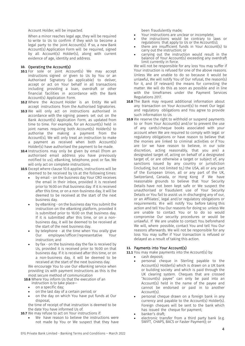Account Holder, will be impacted.

When a minor reaches legal age, they will be required to write to Us to confirm if they wish to become a legal party to the joint Account(s). If so, a new Bank Account(s) Application Form will be required, signed by all Account(s) Holder(s), along with current evidence of age, identity and address.

#### **10.** Operating the Account(s)

- **10.1** For sole or joint Account(s) We may accept instructions signed or given to Us by You or an Authorised Signatory (as applicable) to deliver, accept or act on Your behalf in all transactions including providing a loan, overdraft or other financial facilities in accordance with the Bank Account(s) Application Form.
- **10.2** Where the Account Holder is an Entity We will accept instructions from the Authorised Signatories.
- **10.3** We will only act on instructions authorised in accordance with the signing powers set out on the Bank Account(s) Application Form, as updated from time to time. For example, for an Account(s) held in joint names requiring both Account(s) Holder(s) to authorise the making a payment from the Account(s), We will only treat an instruction to make a payment as received when both Account(s) Holder(s) have authorised the payment to be made.
- **10.4** Instructions may only be given by email (from an authorised email address you have previously notified to us), eBanking, telephone, post or fax. We will only act on complete instructions.
- **10.5** Except where clause 10.6 applies, instructions will be deemed to be received by Us at the following times:
	- by email on the business day Your CRO receives the email in their inbox, provided it is received prior to 16:00 on that business day. If it is received after this time, or on a non-business day, it will be deemed to be received at the start of the next business day.
	- by eBanking on the business day You submit the instruction on the eBanking platform, provided it is submitted prior to 16:00 on that business day. If it is submitted after this time, or on a nonbusiness day, it will be deemed to be received at the start of the next business day.
	- by telephone at the time when You orally give<br>Our employee/officer/representative Your employee/officer/representative instruction; and
	- by fax on the business day the fax is received by Us, provided it is received prior to 16:00 on that business day. If it is received after this time, or on a non-business day, it will be deemed to be received at the start of the next business day.

We encourage You to use Our eBanking service when providing Us with payment instructions as this is the most secure method of communication

- **10.6** Where You inform Us that the execution of an instruction is to take place—
	- on a specific day;
	- on the last day of a certain period; or
	- on the day on which You have put funds at Our disposal,

the time of receipt of that instruction is deemed to be the date You have informed Us of.

**10.7** We may refuse to act on Your instructions if:

We have reason to believe the instructions were not made by You or We suspect that they have been fraudulently made;

- Your instructions are unclear or incomplete;
- the instructions would be contrary to laws or regulations that apply to Us or the Account(s);
- there are insufficient funds in Your Account(s) to carry out the instruction; or
- carrying out the instruction would result in the balance of Your Account(s) exceeding any overdraft limit currently in force.

We will not be responsible for any loss You may suffer if Your instruction is refused for one of the above reasons. Unless We are unable to do so because it would be unlawful, We will notify You of Our refusal, the reason(s) for it, and (if relevant) the means for correcting the matter. We will do this as soon as possible and in line with the timeframes under the Payment Services Regulations 2017.

- **10.8** The Bank may request additional information about any transaction on Your Account(s) to meet Our legal and regulatory obligations and You agree to provide such information to Us.
- **10.9** We reserve the right to withhold or suspend payments to or from Your Account(s) and/or to prevent the use of any cards/cheque books associated with your account when We are required to comply with legal or regulatory obligations or have reason to believe that the monies are linked to criminal activities or if You are (or we have reason to believe, in our sole discretion, acting reasonably, that you are) a designated target of, acting on behalf of a designated target of, or are otherwise a target or subject of, any sanctions issued by any country or jurisdiction (including, but not limited to,) the USA, all or any part of the European Union, all or any part of the UK, Switzerland, Canada, or Hong Kong if We have reasonable grounds to believe that Your Security Details have not been kept safe or We suspect the unauthorised or fraudulent use of Your Security Details or You fail to assist us in discharging any of our, or an Affiliates', legal and/or regulatory obligations or requirements. W e will notify You before taking this action and tell You Our reasons for doing so unless We are unable to contact You or to do so would compromise Our security procedures or would be unlawful. If We are unable to contact You beforehand We will, where possible, contact You and tell You Our reasons afterwards. We will not be responsible for any loss You may suffer if Your transaction is refused or delayed as a result of taking this action.

# **11.** Payments into Your Account(s)

**11.1** You may make payments into the Account(s) by:

- cash deposit;
- personal cheque in Sterling payable to the Account(s) Holder(s) which is drawn on a UK bank or building society and which is paid through the UK clearing system. Cheques that are crossed "Account(s) payee" can only be paid into an Account(s) held in the name of the payee and cannot be endorsed or paid in to another Account(s).
- personal cheque drawn on a foreign bank in any currency and payable to the Account(s) Holder(s). Foreign cheques will be sent to the bank which has issued the cheque for payment;
- banker's draft:
- electronic transfer from a third party bank (e.g. SWIFT, CHAPS, BACS or Faster Payment); or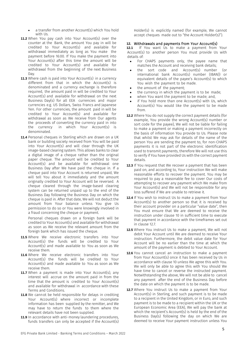- a transfer from another Account(s) which You hold with  $\overline{\mathsf{U}}$ s.
- **11.2** When You pay cash into Your Account(s) over the counter at the Bank, the amount You pay in will be credited to Your Account(s) and available for withdrawal immediately as long as You make the payment before 16:00. If You make the payment into Your Account(s) after this time the amount will be credited to Your Account(s) and available for withdrawal from the beginning of the next Business Day.
- **11.3** Where cash is paid into Your Account(s) in a currency different from that in which the Account(s) is denominated and a currency exchange is therefore required, the amount paid in will be credited to Your Account(s) and available for withdrawal on the next Business Day(s) for all EEA currencies and major currencies e.g. US Dollars, Swiss Francs and Japanese Yen. For other currencies, the amount paid in will be credited to Your Account(s) and available for withdrawal as soon as We receive from Our agents the proceeds of converting the currency paid in into the currency in which Your Account(s) is denominated.
- **11.4** Personal cheques in Sterling which are drawn on a UK bank or building society received from You will be paid into Your Account(s) and will clear through the UK image-based clearing system. This allows banks to clear a digital image of a cheque rather than the original paper cheque. The amount will be credited to Your Account(s) and be available for withdrawal one Business Day after We have paid the cheque in. If a cheque paid into Your Account is returned unpaid, We will tell You about it immediately and the amount originally credited to Your Account will be reversed. A cheque cleared through the image-based clearing system can be returned unpaid up to the end of the Business Day following the Business Day on which the cheque is paid in. After that date, We will not deduct the amount from Your balance unless You give Us permission to do so or You were knowingly involved in a fraud concerning the cheque or payment.

Personal cheques drawn on a foreign bank will be credited to Your Account(s) and available for withdrawal as soon as We receive the relevant amount from the foreign bank which has issued the cheque.

- **11.5** Where We receive electronic transfers into Your Account(s) the funds will be credited to Your Account(s) and made available to You as soon as We receive them.
- **11.6** Where We receive electronic transfers into Your Account(s) the funds will be credited to Your Account(s) and made available to You as soon as We receive them.
- **11.7** When a payment is made into Your Account(s), any interest will accrue on the amount paid in from the time that the amount is credited to Your Account(s) and available for withdrawal in accordance with these Terms and Conditions.
- **11.8** We cannot be held responsible for delays in crediting Your Account(s) where incorrect or incomplete information has been supplied by the remitter, and We may have to return the funds to them where the relevant details have not been supplied.
- **11.9** In accordance with anti-money laundering procedures, funds transfers can only be accepted if the Account(s)

Holder(s) is explicitly named (for example, We cannot accept cheques made out to "the Account Holder(s)").

# **12. Withdrawals and payments from Your Account(s)**<br>**12.1** If You want Us to make a payment from

**12.1** If You want Us to make a payment from Your Account(s) to another person You must provide Us with details of:

- For CHAPS payments only, the payee name that matches the Account and receiving bank details;
- the sort code and Account(s) number (or international bank Account(s) number (IBAN)) or equivalent details of the payee's Account(s) to which You wish the payment to be made.
- the amount of the payment;
- the currency in which the payment is to be made;
- when You want the payment to be made; and,
- if You hold more than one Account(s) with Us, which Account(s) You would like the payment to be made from.
- **12.2** Where You do not supply the correct payment details (for example, You provide the wrong Account(s) number or sort code for the payee), We will not be liable for failing to make a payment or making a payment incorrectly on the basis of information You provide to Us. Please note that whilst We may ask for details of the name of the person You are sending the payment to, for non-CHAPS payments it is not part of the electronic identification used to transmit payments, therefore We will not use this to verify if You have provided Us with the correct payment details.
- **12.3** If You request that We recover a payment that has been paid on, and according to, Your instruction We will make reasonable efforts to recover the payment. You may be required to pay a reasonable fee to cover Our costs of attempting to recover any payment which We make from Your Account(s) and We will not be responsible for any loss suffered if We are unable to retrieve it.
- **12.4** If You wish to instruct Us to make a payment from Your Account(s) to another person so that it is received by their account provider on a particular "value date", then You must ensure that We are deemed to receive the instruction under clause 10 in sufficient time to execute that payment in accordance with the timeframes set out in clause 12.7.
- **12.5** Where You instruct Us to make a payment, We will not debit Your Account until We are deemed to receive Your instruction. Furthermore, the debit value date for Your Account will be no earlier than the time at which the amount of the payment is debited to Your Account.
- **12.6** You cannot cancel an instruction to make a payment from Your Account(s) once it has been received by Us in accordance with clause 10 unless We agree this with You. We will only be able to agree this with You should We have time to cancel or reverse the instructed payment. Notwithstanding the above, We will not be able to cancel any payment after the end of the Business Day before the date on which the payment is to be made.
- **12.7** Where You instruct Us to make a payment from Your Account(s) in Sterling, and such payment is to be made to a recipient in the United Kingdom, or in Euro, and such payment is to be made to a recipient within the UK or the European Economic Area (EEA), We will pay the bank at which the recipient's Account(s) is held by the end of the Business Day(s) following the day on which We are deemed to receive Your payment instruction unless You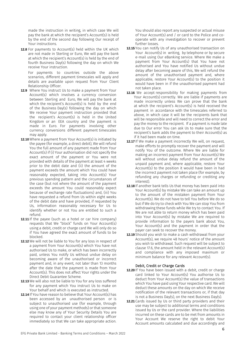made the instruction in writing, in which case We will pay the bank at which the recipient's Account(s) is held by the end of the second day following Our receipt of Your instructions.

**12.8** For payments to Account(s) held within the UK which are not made in Sterling or Euro, We will pay the bank at which the recipient's Account(s) is held by the end of fourth Business Day(s) following the day on which We receive Your instruction.

For payments to countries outside the above scenarios, different payment timescales will apply and details are available upon request from Your Client Relationship Officer.

- **12.9** Where You instruct Us to make a payment from Your Account(s) which involves a currency conversion between Sterling and Euro, We will pay the bank at which the recipient's Account(s) is held by the end of the Business Day(s) following the day on which We receive Your payment instruction provided that the recipient's Account(s) is held in the United Kingdom or an EEA country and the payment is made in Euro. For payments involving other currency conversions different payment timescales may apply.
- **12.10** Where a payment from Your Account(s) is initiated by the payee (for example, a direct debit), We will refund You the full amount of any payment made from Your Account(s) if (i) Your authorisation did not specify the exact amount of the payment or You were not provided with details of the payment at least 4 weeks prior to the debit date and (ii) the amount of the payment exceeds the amount which You could have reasonably expected, taking into Account(s) Your previous spending pattern and the circumstances of the case (but not where the amount of the payment exceeds the amount You could reasonably expect because of exchange rate fluctuations) and, (iii) You have requested a refund from Us within eight weeks of the debit date and have provided, if requested by Us, information reasonably necessary for Us to identify whether or not You are entitled to such a refund.
- **12.11** If the payee (such as a hotel or car hire company) requests that We "block" funds on Your Account(s) using a debit, credit or charge card We will only do so if You have agreed the exact amount of funds to be blocked.
- **12.12** We will not be liable to You for any loss in respect of a payment from Your Account(s) which You have not authorised Us to make, or which has been incorrectly paid, unless You notify Us without undue delay on becoming aware of the unauthorised or incorrect payment and, in any event, not later than 13 months after the date that the payment is made from Your Account(s). This does not affect Your rights under the Direct Debit Guarantee Scheme.
- **12.13** We will also not be liable to You for any loss suffered for any payment which You instruct Us to make on Your behalf and which is executed as instructed.
- **12.14** If You have reason to believe that Your Account(s) has been accessed by an unauthorised person or is subject to unauthorised use (for example, through using one of your payment methods) or that someone else may know any of Your Security Details You are required to contact your client relationship officer immediately so that We can take appropriate action.

You should also report any suspected or actual misuse of Your Account(s) and / or card to the Police and cooperate with any investigation to recover or prevent further losses.

- **12.15** You can notify Us of any unauthorised transaction on Your Account(s) in writing, by telephone or by secure e-mail using Our eBanking service. Where We make a payment from Your Account(s) that You have not authorised and You have notified Us without undue delay after becoming aware of this, We will refund the amount of the unauthorised payment and, where applicable, restore Your Account(s) to the position it would have been in if the unauthorised payment had not taken place.
- **12.16** We accept responsibility for making payments from Your Account(s) correctly. We are liable if payments are made incorrectly unless We can prove that the bank at which the recipient's Account(s) is held received the payment in accordance with the timescales referred to above, in which case it will be the recipients bank that will be responsible and will need to correct the error and pay the money to the recipient. If a payment is made late due to Our error You can ask Us to make sure that the recipient's bank adds the payment to their Account(s) as if it had been made on time.
- **12.17** If We make a payment incorrectly We will, on request, make efforts to promptly recover the payment and will notify You of the outcome. Where We are liable for making an incorrect payment from Your Account(s) We will without undue delay refund the amount of the unpaid payment and, where applicable, restore Your Account(s) to the position it would have been in had the incorrect payment not taken place (for example, by refunding any charges or refunding or crediting any interest).
- **12.18** If another bank tells Us that money has been paid into Your Account(s) by mistake We can take an amount up to the amount of the mistaken payment from Your Account(s). We do not have to tell You before We do so but if We do try to check with You We can stop You from withdrawing these funds while We try to contact You. If We are not able to return money which has been paid into Your Account(s) by mistake We are required to provide information to the payers bank about You, Your Account(s) and the payment in order that the payer can seek to recover the money.
- **12.19** Should you wish to make a cash withdrawal from your Account(s), we require 48 hours' notice of the amount you wish to withdrawal. Such request will be subject to clause 17.6, the amount held in the relevant Account(s) and compliance with any imposed maximum or minimum balance for any relevant Account(s).

#### Debit, Credit or Charge Cards

- **12.20** If You have been issued with a debit, credit or charge card linked to Your Account(s) You authorise Us to deduct from Your Account(s) the value of transactions which You have paid using Your respective card. We will deduct these amounts on the day on which We receive notification of the relevant transactions or, if that day is not a Business Day(s), on the next Business Day(s).
- **12.21** Cards issued by Us or third party providers and their use may be subject to additional terms and conditions issued by Us or the card provider. Where the liabilities incurred on these cards are to be met from amounts in Your Account We reserve the right to debit Your Account amounts calculated and due accordingly and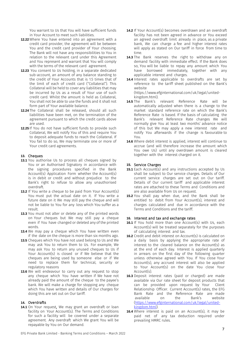You warrant to Us that You will have sufficient funds in Your Account to meet such liabilities.

- **12.22** Where You have entered into an agreement with a credit card provider, the agreement will be between You and the credit card provider of Your choosing. The Bank will not have any responsibilities to You in relation to the relevant card under this Agreement and You represent and warrant that You will comply with the terms of the relevant card agreement.
- **12.23** You consent to Us holding, in a separate dedicated sub-account, an amount of any balance standing to the credit of Your Accounts that is 1.5 times that of the limit of each of credit card ("Collateral"). This Collateral will be held to cover any liabilities that may be incurred by Us as a result of Your use of such credit card. Whilst the amount is held as Collateral, You shall not be able to use the funds and it shall not form part of Your available balance.
- **12.24** The Collateral shall be released, should all such liabilities have been met, on the termination of the agreement pursuant to which the credit cards above are used.
- **12.25** If You do not have sufficient funds to provide such Collateral, We will notify You of this and require You to deposit adequate funds to reach the Collateral. If You fail to do so, We may terminate one or more of Your credit card agreements.

#### **13.** Cheques

- **13.1** You authorise Us to process all cheques signed by You or an Authorised Signatory in accordance with the signing procedures specified in the Bank Account(s) Application Form whether the Account(s) is in debit or credit and without prejudice to the Bank's right to refuse to allow any unauthorised overdraft.
- **13.2** If You write a cheque to be paid from Your Account(s) You must put the actual date on it. If You write a future date on it We may still pay the cheque and will not be liable to You for any loss which You suffer as a result.
- **13.3** You must not alter or delete any of the printed words on Your cheques but We may still pay a cheque even if You have changed or deleted any of the printed words.
- **13.4** We may pay a cheque which You have written even if the date on the cheque is more than six months ago.
- **13.5** Cheques which You have not used belong to Us and We may ask You to return them to Us. For example, We may ask You to return any unused cheques to Us if Your Account(s) is closed or if We believe that the cheques are being used by someone else or if We need to replace them for technical, security or regulatory reasons
- **13.6** We will endeavour to carry out any request to stop any cheque which You have written if We have not already paid the amount of the cheque to the payee's bank. We will make a charge for stopping any cheque which You have written and details of Our charges for doing this are set out on Our tariff.

#### **14.** Overdrafts

**14.1** On Your request, We may grant an overdraft or loan facility on Your Account(s). The Terms and Conditions for such a facility will be covered under a separate agreement. Any overdraft which We grant You will be repayable by You on Our demand.

- **14.2** If Your Account(s) becomes overdrawn and an overdraft facility has not been agreed in advance or You exceed an agreed overdraft limit already in place, as a private bank, We can charge a fee and higher interest rates will apply as stated on Our tariff in force from time to time.
- 14.3 The Bank reserves the right to withdraw any on demand facility with immediate effect. If the Bank does so, You will be liable to repay any amount which You have borrowed immediately, together with any applicable interest and charges.
- **14.4** Interest rates applicable to overdrafts are set by reference to the tariff sheet published on the Bank's website (https://www.efginternational.com/uk/legal/unitedkingdom.html).
- **14.5** The Bank's relevant Reference Rate will be automatically adjusted when there is a change to the market standard reference rate on which the Bank's Reference Rate is based. If the basis of calculating the Bank's relevant Reference Rate changes We will normally give You at least two months' advance notice of this but We may apply a new interest rate and notify You afterwards if the change is favourable to You.
- **14.6** Where debit interest is applied, interest will continue to accrue (and will therefore increase the amount which You owe Us) until any overdrawn amount is cleared together with the interest charged on it.

#### **15.** Service Charges

- **15.1** Each Account(s) and any instructions accepted by Us shall be subject to Our service charges. Details of Our current service charges are set out on Our tariff. Details of Our current tariff and applicable interest rates are attached to these Terms and Conditions and are also available from Us on request.
- **15.2** You shall pay when due, and the Bank shall be entitled to debit from Your Account(s), interest and charges calculated and due in accordance with the Terms and Conditions and the tariff.

#### **16.** Interest and tax and exchange rates

- **16.1** If You hold more than one Account(s) with Us, each Account(s) will be treated separately for the purposes of calculating interest and tax.
- **16.2** Credit and debit interest on Account(s) is calculated on a daily basis by applying the appropriate rate of interest to the cleared balance on the Account(s) as at the end of each day. Interest is applied quarterly in arrears on the first day of the following quarter unless otherwise agreed with You. If You close Your Account(s), any accrued interest will also be applied to Your Account(s) on the date You close Your Account(s).
- **16.3** Deposit interest rates (paid or charged) are made available via Our rate sheet for deposit products that can be provided upon request by Your Client Relationship Officer. Current Account(s) rates, the EFG Bank Rate and the Reference Rate are made available on the Bank's website (https://www.efginternational.com/uk/legal/unitedkingdom.html).
- **16.4** Where interest is paid on an Account(s), it may be paid net of any tax deduction required under prevailing HMRC rules.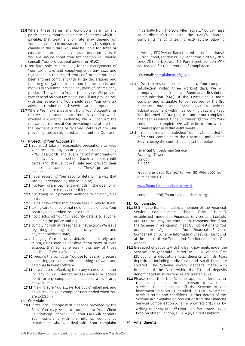- **16.5** Where these Terms and Conditions refer to any particular tax treatment or rate of interest which is payable, that treatment or rate may depend on Your individual circumstances and may be subject to change in the future. You may be liable for taxes or costs which are not paid via Us or imposed by Us. If You are unsure about Your tax position You should consult Your professional adviser or HMRC.
- **16.6** You have sole responsibility for the management of Your tax affairs and complying with any laws and regulations in this regard. You confirm that You have been and are compliant with all tax declarations and reporting obligations in relation to the assets and monies in Your accounts and any gains or income they produce. The value to You of the services We provide may depend on Your tax status. We will not provide You with this advice and You should seek Your own tax advice as to whether such services are appropriate.
- **16.7** Where We make a payment from Your Account(s) or receive a payment into Your Account(s) which involves a currency exchange, We will convert the relevant currencies at Our prevailing rate at the time the payment is made or received. Details of how Our prevailing rate is calculated are set out on Our tariff.

#### **17.** Protecting Your Account(s)

- **17.1** You must take all reasonable precautions to keep Your Account, any security details (including any PINs, passwords and eBanking login information), and any payment methods (such as debit/credit cards and cheque books) safe and prevent their misuse by somebody else. These precautions include:
- **17.2** never recording Your security details in a way that can be understood by someone else;
- **17.3** not leaving any payment methods in the open or in places that are easily accessible;
- **17.4** not giving Your payment methods to anybody else to use;
- **17.5** using password(s) that people are unlikely to guess;
- **17.6** taking care to ensure that no one hears or sees Your security details when You use them;
- **17.7** not disclosing Your full security details to anyone, including the police and Us;
- **17.8** complying with all reasonable instructions We issue regarding keeping Your security details and payment methods safe;
- **17.9** changing Your security details immediately and telling Us as soon as possible if You know, or even suspect, that someone else knows any of those details, or if We ask You to;
- **17.10** keeping the computer You use for eBanking secure and using up to date virus checking software and personal firewall software.
- **17.11** never access eBanking from any shared computer (or any public internet access device or access point) or any computer connected to a local area network; and
- **17.12** making sure You always log out of eBanking, and never leaving Your computer unattended when You are logged in.

#### **18.** Complaints

**18.1** If You are unhappy with a service provided by the Bank You may wish to complain to Your Client Relationship Officer (CRO). Your CRO will escalate Your complaint with the internal Compliance Department who will deal with Your complaint

impartially from thereon. Alternatively, You can raise Your dissatisfaction with the Bank's internal complaints handling team directly at the following details:

In writing: EFG Private Bank Limited, Leconfield House, Curzon Street, London W1J 5JB and from 23rd May 2022 Level 7&8, Park House, 116 Park Street, London, W1K 6AF marked for the attention of Compliance

By email: complaints@efgl.com

- **18.2** If We can resolve the complaint to Your complete satisfaction within three working days, We will promptly send You a Summary Resolution Communication (SRC). If the Complaint is more complex and is unable to be resolved by the 3rd business day, We'll send You a written acknowledgement within five working days and keep You informed of Our progress until Your complaint has been resolved. Once Our investigation into Your complaint is complete We will write to You with a formal response within eight weeks.
- **18.3** If You still remain dissatisfied You may be entitled to refer Your complaint to the Financial Ombudsman Service using the contact details set out below:

Financial Ombudsman Service Exchange Tower London E14 9SR

Freephone 0800 0234567 (or +44 20 7964 0500 from outside the UK)

#### www.financial-ombudsman.org.uk

complaint.info@financial-ombudsman.org.uk

#### **19.** Compensation

- **19.1** EFG Private Bank Limited is a member of the Financial Services Compensation Scheme ("the Scheme") established under the Financial Services and Markets Act 2000. You may be entitled to compensation from the Scheme if We cannot meet Our obligations to You under this Agreement. Our Financial Services Compensation Scheme Information Sheet can be found at the end of these Terms and Conditions and on Our website.
- **19.2** In respect of deposits with the Bank, payments under the Scheme are generally limited to 100% of the first £85,000 of a depositor's total deposits with Us. Most depositors including individuals and small firms are covered. The Scheme covers deposits made with branches of the Bank within the EU and deposits denominated in all currencies are treated alike.
- **19.3** Please note that the Scheme applies differently in relation to deposits in comparison to investment services. The application off the Scheme to Our investment services is detailed in Our investment services terms and conditions. Further details of the Scheme are available on request or from the Financial Services Compensation Scheme: www.fscs.org.uk or by writing to them at 10<sup>th</sup> Floor Beaufort House, 15 St Botolph Street, London, EC3A 7QU, United Kingdom.

#### **20.** Amendments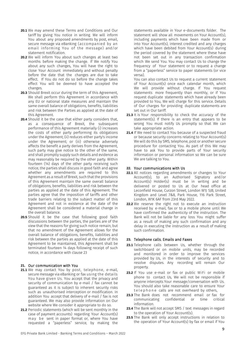- **20.1** We may amend these Terms and Conditions and Our tariff by giving You notice in writing. We will inform You about any proposed amendments by post, email, secure message via eBanking (accompanied by an email informing You of the message) and/or statement notification.
- **20.2** We will inform You about such changes at least two months before making the change. If We notify You about any such changes, You will have the right to close Your Account immediately and without penalty before the date that the changes are due to take effect. If You do not do so before the change takes effect You will be deemed to have accepted the changes.
- **20.3** Should Brexit occur during the term of this Agreement, We shall perform this Agreement in accordance with any EU or national state measures and maintain the same overall balance of obligations, benefits, liabilities and risk between the Parties as applied at the date of this Agreement.
- **20.4** Should it be the case that either party considers that, as a consequence of Brexit, the subsequent performance of this Agreement materially (i) increases the costs of either party performing its obligations under the Agreement; (ii) reduces either party's income under the Agreement; or (iii) otherwise adversely affects the benefit a party derives from the Agreement, such party may give notice to the other of the same, and shall promptly supply such details and evidence as may reasonably be required by the other party. Within fourteen (14) days of the other party receiving such notice, the parties shall discuss in good faith and agree whether any amendments are required to this Agreement as a result of Brexit, such that the provisions of this Agreement maintain the same overall balance of obligations, benefits, liabilities and risk between the parties as applied at the date of this Agreement. The parties agree that the imposition of tariffs and other trade barriers relating to the subject matter of this Agreement and not in existence at the date of the Agreement shall be considered a material change in the overall balance.
- **20.5** Should it be the case that following good faith discussions between the parties, the parties are of the view that the reasons for giving such notice remain, but that no amendment of the Agreement allows for the overall balance of obligations, benefits, liabilities and risk between the parties as applied at the date of this Agreement to be maintained, this Agreement shall be terminated fourteen 14 days following receipt of such notice, in accordance with clause 23

#### **21.** Our communication with You

- **21.1** We may contact You by post, telephone, e-mail, secure message via eBanking or fax using the details You have given Us. You accept that the privacy and security of communication by e-mail / fax cannot be guaranteed as it is subject to inherent security risks such as unauthorised interception or modification. In addition You accept that delivery of e-mail / fax is not guaranteed. We may also provide information on Our website where We consider it appropriate to do so.
- **21.2** Periodic statements (which will be sent monthly in the case of payment accounts) regarding Your Account(s) may be sent in paper format or, where You have requested a "paperless" service, by making the

statements available in Your e-documents folder. The statement will show all movements on Your Account(s), including payments which have been made from or into Your Account(s), interest credited and any charges which have been debited from Your Account(s) during the period covered by the statement where these have not been set out in any transaction confirmation which We send You. You may contact Us to change the frequency of Your statement or to request a change from a "paperless" service to paper statements (or vice versa).

You can also contact Us to request a current statement of Your Account(s) once each calendar month, which We will provide without charge. If You request statements more frequently than monthly, or if You request duplicate statements which have already been provided to You, We will charge for this service. Details of Our charges for providing duplicate statements are set out in Our tariff.

- 21.3 It is Your responsibility to check the accuracy of the statement(s). If there is an entry that appears to be wrong You must notify Us promptly so that We can take appropriate action.
- **21.4** If We need to contact You because of a suspected fraud or because security concerns relating to Your Account(s) We will do this by SMS, telephone, post or another secure procedure for contacting You. As part of this We may have to ask You to provide parts of Your security information or personal information so We can be sure We are talking to You.

#### **22.** Your communications with Us

- **22.1** All notices regarding amendments or changes to Your Account(s), to an Authorised Signatory and/or Account(s) Holder(s) must be in writing and be delivered or posted to Us at Our head office at Leconfield House, Curzon Street, London W1J 5JB, United Kingdom and Level 7&8, Park House, 116 Park Street, London, W1K 6AF from 23rd May 2022.
- **22.2** We reserve the right not to execute an instruction received by e-mail, fax or to a mobile phone until We have confirmed the authenticity of the instruction. The Bank will not be liable for any loss You might suffer as a result of making any such confirmation and any delay in executing the instruction as a result of making such confirmation.

#### **23.** Telephone calls, Emails and Faxes

- **23.1** Telephone calls between Us, whether through the switchboard or on mobile units, may be recorded and monitored in order to improve the services provided by Us, in the interests of security and to resolve disputes. Any recording will remain Our property.
- **23.2** If You use e-mail or fax or public WiFi or mobile phone to contact Us, We will not be responsible if anyone intercepts Your message/conversation with Us. You should also take reasonable care to ensure Your telephone calls are not overheard by others.
- **23.3** The Bank does not recommend email or fax for communicating confidential or time critical information.
- **23.4** The Bank will not accept SMS / text messages in regard to the operation of Your Account(s).
- **23.5** The Bank will only accept instructions in relation to the operation of Your Account(s) by fax or email if You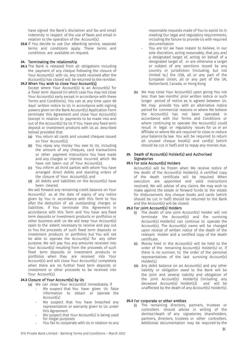have signed the Bank's disclaimer and fax and email indemnity in respect of the use of faxes and email in relation to the operation of the Account(s).

**23.6** If You decide to use Our eBanking service, separate terms and conditions apply. These terms and conditions are available on request.

#### **24.** Terminating the relationship

**24.1** The Bank is released from all obligations including the payment of any cheque following the closure of Your Account(s) with Us. Any credit received after the Account(s) has closed will be returned to the remitter.

#### **24.2** When You wish to close Your Account(s)

- Except where Your Account(s) is an Account(s) for a fixed term deposit (in which case You may not close Your Account(s) early except in accordance with these Terms and Conditions), You can at any time upon 60 days' written notice to Us in accordance with signing powers given on the Bank Account(s) Application Form terminate this Agreement and close Your Account(s) (except in relation to payments to be made into and out of the Account(s) by Us if You have any fixed term deposit or investment products with Us as described below) provided that:
	- (a) You return all cards and unused cheques issued on Your Account(s);
	- (b) You repay any money You owe to Us, including the amount of any cheques, card transactions or other payment instructions You have made and any charges or interest incurred which We have not taken out of Your Account(s);
	- (c) You inform all third parties with whom You have arranged direct debits and standing orders of the closure of Your Account(s); and
	- (d) all debits and liabilities on the Account(s) have been cleared.

We will forward any remaining credit balance on Your Account(s) as at the date of expiry of any notice given by You in accordance with this Term to You after the deduction of all outstanding charges or liabilities. If You terminate this Agreement in accordance with this Term and You have any fixed term deposits or investment products or portfolios or other business with Us We will keep Your Account(s) open to the extent necessary to receive and pay out to You the proceeds of such fixed term deposits or investment products or portfolios but You will not be able to operate the Account(s) for any other purpose. We will pay You any amounts received into Your Account(s) resulting from the proceeds of such fixed term deposits or investment products or portfolios when they are received into Your Account(s) and will close Your Account(s) completely when there are no further fixed term deposits or investment or other proceeds to be received into Your Account(s).

#### **24.3** Closure of Your Account(s) by Us

- (a) We can close Your Account(s) immediately if
	- We suspect that You have given Us false information to obtain or operate the Account(s)
	- We suspect that You have breached any representation or warranty given to Us under this Agreement
	- We suspect that Your Account(s) is being used for illegal purposes
	- You fail to cooperate with Us in relation to any

reasonable requests made of You to assist Us in meeting Our legal and regulatory requirements, including the failure to provide Us with required documentation

- You are (or we have reason to believe, in our sole discretion, acting reasonably, that you are) a designated target of, acting on behalf of a designated target of, or are otherwise a target or subject of any sanctions issued by any country or jurisdiction (including, but not limited to,) the USA, all or any part of the European Union, all or any part of the UK, Switzerland, Canada, or Hong Kong
- (b) We may close Your Account(s) upon giving You not less than two months' prior written notice or such longer period of notice as is agreed between Us. We may provide You with an alternative notice period for commercial reasons or where We believe the Account(s) has not been operated in accordance with Our Terms and Conditions or where continuing to operate the Account(s) could result in legal or regulatory issues for us or an Affiliate or where We are required to close or reduce your balance by law. You will be required to return all unused cheque book(s) and card(s) (which should be cut in half) and to repay any monies due.

## **25.** Death of Account(s) Holder(s) and Authorised **Signatories**

#### **25.1** For sole Account(s) Holders

Account(s) will be frozen when We receive notice of the death of the Account(s) Holder(s). A certified copy of the death certificate will be required. When executors are appointed and valid instructions received, We will advise of any claims We may wish to make against the estate or forward funds to the estate for disbursement. Any cheque books and cards (which should be cut in half) should be returned to the Bank and the Account(s) will be closed.

#### **25.2** For joint Account(s) Holders

- (i) The death of one joint Account(s) Holder will not terminate the Account(s) and the surviving Account(s) Holder(s) can continue to operate the Account(s). The Account(s) name will be changed upon receipt of written notice of the death of the relevant Holder and a certified copy of the death certificate.
- (ii) Money held in the Account(s) will be held to the order of the remaining Account(s) Holder(s) or, if there is no survivor, to the order of the personal representatives of the last surviving Account(s) Holder(s).
- (iii) Any debit balance on an Account(s) and any other liability or obligation owed to the Bank will be the joint and several liability and obligation of the joint Account(s) Holder(s) (including any deceased Account(s) Holder(s)) and will be unaffected by the death of any Account(s) Holder(s).

#### **25.3** For corporate or other entities

(i) The remaining directors, partners, trustees or controllers should advise in writing of the demise/death of any signatories, shareholders, partners, directors, trustees or other controllers. Additional documentation may be required by the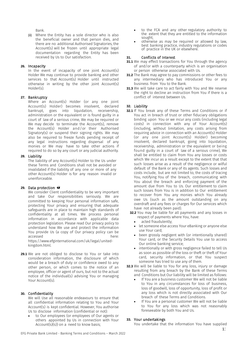Bank.

(ii) Where the Entity has a sole director who is also the beneficial owner and that person dies, and there are no additional Authorised Signatories, the Account(s) will be frozen until appropriate legal documentation regarding the Entity has been received by Us to Our satisfaction.

#### **26.** Incapacity

In the event of incapacity of one joint Account(s) Holder We may continue to provide banking and other services to that Account(s) Holder until instructed otherwise in writing by the other joint Account(s) Holder(s).

#### **27.** Bankruptcy

Where an Account(s) Holder (or any one joint Account(s) Holder) becomes insolvent, declared<br>bankrupt, goes into liquidation, receivership, liquidation, receivership, administration or the equivalent or is found guilty in a court of law of a serious crime, We may be required or We may decide to terminate the Account(s), remove the Account(s) Holder and/or their Authorised Signatory(s) or suspend their signing rights. We may also be required to freeze funds pending receipt of any legal instructions regarding dispersal of any monies or We may have to take other actions if required to do so by any court or any judicial authority.

#### **28.** Liability

The liability of any Account(s) Holder to the Us under these Terms and Conditions shall not be avoided or invalidated if the liability of any one or more of any other Account(s) Holder is for any reason invalid or unenforceable.

#### **29.** Data protection

We consider Client confidentiality to be very important and take Our responsibilities seriously. We are committed to keeping Your personal information safe, protecting Your privacy and ensuring that adequate safeguards are in place to maintain high standards of confidentiality at all times. We process personal information in accordance with applicable data protection legislation. Please read Our privacy policy to understand how We use and protect the information You provide Us (a copy of Our privacy policy can be accessed here:

https://www.efginternational.com/uk/legal/unitedkingdom.html.

**29.1** We are not obliged to disclose to You or take into consideration information, the disclosure of which would be a breach of duty or confidence owed to any other person, or which comes to the notice of an employee, officer or agent of ours, but not to the actual notice of the individual(s) advising You or managing Your Account(s).

#### **30.** Confidentiality

We will Use all reasonable endeavours to ensure that all confidential information relating to You and Your Account(s) is kept confidential. However, You authorise Us to disclose information (confidential or not):

• to Our employees (or employees of Our agents or others appointed by Us in connection with Your Account(s)(s)) on a need to know basis;

- to the FCA and any other regulatory authority to the extent that they are entitled to the information sought;
- otherwise as may be required or allowed by law, best banking practice, industry regulations or codes of practice in the UK or elsewhere.

#### **31.** Conflicts of Interest

- **31.1** We may effect transactions for You through the agency of and/or with a counterparty which is an organisation or person otherwise associated with Us.
- **31.2** The Bank may agree to pay commissions or other fees to any intermediary who has introduced You or any business from You to the Bank.
- **31.3** We will take care to act fairly with You and We reserve the right to decline an instruction from You if there is a conflict of interest between Us.

#### **32.** Liability

- **32.1** If You break any of these Terms and Conditions or if You act in breach of trust or other fiduciary obligations binding upon You or we incur any costs (including legal costs) in connection with any of Your Account(s) (including, without limitation, any costs arising from requiring advice in connection with an Account(s) Holder (or any one joint Account(s) Holder) becoming insolvent, declared bankrupt, going into liquidation, receivership, administration or the equivalent or being found guilty in a court of law of a serious crime), We shall be entitled to claim from You any losses or costs which We incur as a result except to the extent that that such losses arise as a result of the negligence or wilful default of the Bank or any of its agents. Such losses and costs include, but are not limited to, the costs of tracing You, notifying You of the breach, communicating with You about the breach and enforcing payment of the amount due from You to Us. Our entitlement to claim such losses from You is in addition to Our entitlement to recover from You any monies which You already owe Us (such as the amount outstanding on any overdraft and any fees or charges for Our services which have not already been paid).
	- **32.2** You may be liable for all payments and any losses in respect of payments where You, have:
		- acted fraudulently;
		- let someone else access Your eBanking or anyone else use Your card;
		- been grossly negligent with (or intentionally shared) Your card, or the Security Details You use to access Our online banking service;
		- intentionally or with gross negligence failed to tell Us as soon as possible of the loss or theft or theft of Your card, security information, or that You suspect someone has tried to use any of them.
- **32.3** We will be liable to You for any loss, injury or damage resulting from any breach by the Bank of these Terms and Conditions but Our liability will be limited as follows:
	- If You are a business customer We will not be liable to You in any circumstances for loss of business, loss of goodwill, loss of opportunity, loss of profit or any loss which is not directly associated with Our breach of these Terms and Conditions.
	- If You are a personal customer We will not be liable to You for any loss which was not reasonably foreseeable by both You and Us.

#### **33.** Your undertakings

You undertake that the information You have supplied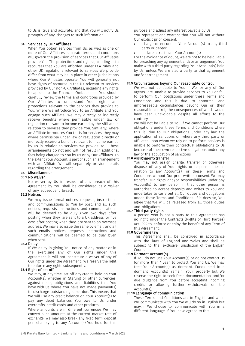to Us is true and accurate, and that You will notify Us promptly of any changes to such information.

#### **34.** Services by Our Affiliates

When You obtain services from Us, as well as one or more of Our Affiliates, separate terms and conditions will govern the provision of services that Our Affiliates provide You. The protections and rights (including as to recourse) that You are afforded under FCA rules and other UK regulations relevant to services We provide differ from what may be in place in other jurisdictions where Our Affiliates operate. You will generally not have rights of recourse in the UK relevant to services provided by Our non-UK Affiliates, including any rights to appeal to the Financial Ombudsman. You should carefully review the terms and conditions provided by Our Affiliates to understand Your rights and protections relevant to the services they provide to You. Where We introduce You to an Affiliate and You engage such Affiliate, We may directly or indirectly receive benefits where permissible under law or regulation relevant to income earned by the Affiliate in relation to services they provide You. Similarly, where an Affiliate introduces You to Us for services, they may where permissible under law or regulation directly or indirectly receive a benefit relevant to income earned by Us in relation to services We provide You. These arrangements do not and will not result in additional fees being charged to You by Us or by Our Affiliates. To the extent Your Account is part of such an arrangement with an Affiliate We will separately provide details regarding the arrangement.

# **35.** Miscellaneous

#### **35.1** No waiver

No waiver by Us in respect of any breach of this Agreement by You shall be considered as a waiver of any subsequent breach.

#### **35.2** Notices

We may issue formal notices, requests, instructions and communications to You by post, and all such notices, requests, instructions and communications will be deemed to be duly given two days after posting when they are sent to a UK address, or five days after posting when they are sent to an overseas address. We may also issue the same by email, and all such emails, notices, requests, instructions and communications will be deemed to be duly given when sent.

#### **35.3** Delay

If We delay in giving You notice of any matter or in the exercising any of Our rights under this Agreement, it will not constitute a waiver of any of Our rights under the Agreement. We reserve the right to enforce any rights subsequently.

#### **35.4** Right of set off

We may, at any time, set off any credits held on Your Account(s), whether in Sterling or other currencies, against debts, obligations and liabilities that You have with Us where You have not made payment(s) to discharge outstanding sums due. This means that We will use any credit balance on Your Account(s) to pay any debit balances You owe to Us under overdrafts, credit cards and other products.

Where amounts are in different currencies We may convert such amounts at the current market rate of exchange. We may also break any fixed term deposit period applying to any Account(s) You hold for this

purpose and adjust any interest payable by Us. You represent and warrant that You will not without Our explicit prior consent:

- charge or encumber Your Account(s) to any third party or debtor.
- declare a trust over Your Account(s).

For the avoidance of doubt, We are not to be held liable for breaching any agreement and/or arrangement You make with a third party regarding Your Account(s) held by Us, unless We are also a party to that agreement and/or arrangement.

#### **35.5** Circumstances beyond Our reasonable control

We will not be liable to You if We, or any of Our agents, are unable to provide services to You or fail to perform Our obligations under these Terms and Conditions and this is due to abnormal and unforeseeable circumstances beyond Our or their reasonable control, the consequences of which would have been unavoidable despite all efforts to the contrary.

We will not be liable to You if We cannot perform Our obligations under these Terms and Conditions where this is due to Our obligations under any law, the application of sanctions or where any third party or Affiliates upon whom we rely on to perform services is unable to perform their contractual obligations to Us because of their own respective obligations under any law or the application of sanctions.

#### **35.6** Assignment/transfer

You may not assign charge, transfer or otherwise dispose of any of Your rights or responsibilities in relation to any Account(s) or these Terms and Conditions without Our prior written consent. We may transfer Our rights and/or responsibilities under any Account(s) to any person if that other person is authorised to accept deposits and writes to You and undertakes to carry out all Our duties and obligations under these Terms and Conditions. If it does so, You agree that We will be released from all those duties and obligations.

#### **35.7** Third party rights

A person who is not a party to this Agreement has no right under the Contracts (Rights of Third Parties) Act 1999 to enforce or enjoy the benefit of any Term of this Agreement.

#### **35.8** Governing law

This Agreement shall be construed in accordance with the laws of England and Wales and shall be subject to the exclusive jurisdiction of the English Courts.

#### **35.9** Dormant Account(s)

If You do not use Your Account(s) or do not contact Us for more than 1 year, to protect You and Us, We may treat Your Account(s) as dormant. Funds held in a dormant Account(s) remain Your property but We reserve the right to seek fresh documentation and/or due diligence from You before accepting incoming credits or allowing further withdrawals on the Account(s).

#### **35.10** Language of communication

These Terms and Conditions are in English and when We communicate with You We will do so in English but may, if We choose to, communicate with You in a different language if You have agreed to this.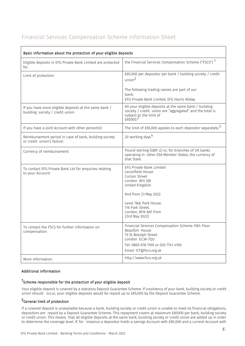# Financial Services Compensation Scheme Information Sheet

| Basic information about the protection of your eligible deposits                          |                                                                                                                                                          |
|-------------------------------------------------------------------------------------------|----------------------------------------------------------------------------------------------------------------------------------------------------------|
| Eligible deposits in EFG Private Bank Limited are protected<br>by:                        | the Financial Services Compensation Scheme ("FSCS") 1                                                                                                    |
| Limit of protection:                                                                      | £85,000 per depositor per bank / building society / credit<br>union <sup>2</sup>                                                                         |
|                                                                                           | The following trading names are part of our<br>bank:<br>EFG Private Bank Limited, EFG Harris Allday                                                      |
| If you have more eligible deposits at the same bank /<br>building society / credit union: | All your eligible deposits at the same bank / building<br>society / credit union are "aggregated" and the total is<br>subject to the limit of<br>£85000. |
| If you have a joint Account with other person(s):                                         | The limit of £85,000 applies to each depositor separately. <sup>3</sup>                                                                                  |
| Reimbursement period in case of bank, building society<br>or credit union's failure:      | 20 working days <sup>4</sup>                                                                                                                             |
| Currency of reimbursement:                                                                | Pound sterling (GBP, £) or, for branches of UK banks<br>operating in other EEA Member States, the currency of<br>that State.                             |
| To contact EFG Private Bank Ltd for enquiries relating<br>to your Account:                | EFG Private Bank Limited<br>Leconfield House<br>Curzon Street<br>London W1J 5JB<br>United Kingdom<br>And from 23 May 2022:                               |
|                                                                                           | Level 7&8, Park House,<br>116 Park Street,<br>London, W1K 6AF from<br>23rd May 2022)                                                                     |
| To contact the FSCS for further information on<br>compensation:                           | Financial Services Compensation Scheme 10th Floor<br>Beaufort House<br>15 St Botolph Street<br>London EC3A 7QU                                           |
|                                                                                           | Tel: 0800 678 1100 or 020 7741 4100<br>Email: ICT@fscs.org.uk                                                                                            |
| More information:                                                                         | http://www.fscs.org.uk                                                                                                                                   |
|                                                                                           |                                                                                                                                                          |

# Additional information

# <sup>1</sup>Scheme responsible for the protection of your eligible deposit

Your eligible deposit is covered by a statutory Deposit Guarantee Scheme. If insolvency of your bank, building society or credit union should occur, your eligible deposits would be repaid up to £85,000 by the Deposit Guarantee Scheme.

# <sup>2</sup>General limit of protection

If a covered deposit is unavailable because a bank, building society or credit union is unable to meet its financial obligations, depositors are repaid by a Deposit Guarantee Scheme. This repayment covers at maximum £85000 per bank, building society or credit union. This means that all eligible deposits at the same bank, building society or credit union are added up in order to determine the coverage level. If, for instance a depositor holds a savings Account with £80,000 and a current Account with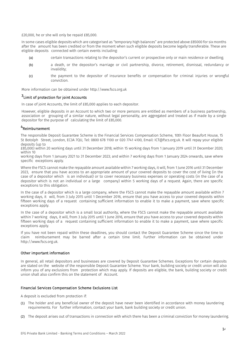£20,000, he or she will only be repaid £85,000.

In some cases eligible deposits which are categorised as "temporary high balances" are protected above £85000 for six months after the amount has been credited or from the moment when such eligible deposits become legally transferable. These are eligible deposits connected with certain events including:

- (a) certain transactions relating to the depositor's current or prospective only or main residence or dwelling;
- (b) a death, or the depositor's marriage or civil partnership, divorce, retirement, dismissal, redundancy or invalidity;
- (c) the payment to the depositor of insurance benefits or compensation for criminal injuries or wrongful conviction.

More information can be obtained under http://www.fscs.org.uk

# <sup>3</sup>Limit of protection for joint Accounts

In case of joint Accounts, the limit of £85,000 applies to each depositor.

However, eligible deposits in an Account to which two or more persons are entitled as members of a business partnership, association or grouping of a similar nature, without legal personality, are aggregated and treated as if made by a single depositor for the purpose of calculating the limit of £85,000.

## 4Reimbursement

The responsible Deposit Guarantee Scheme is the Financial Services Compensation Scheme, 10th Floor Beaufort House, 15 St Botolph Street, London, EC3A 7QU, Tel: 0800 678 1100 or 020 7741 4100, Email: ICT@fscs.org.uk. It will repay your eligible deposits (up to

£85,000) within 20 working days until 31 December 2018; within 15 working days from 1 January 2019 until 31 December 2020; within 10

working days from 1 January 2021 to 31 December 2023; and within 7 working days from 1 January 2024 onwards, save where specific exceptions apply.

Where the FSCS cannot make the repayable amount available within 7 working days, it will, from 1 June 2016 until 31 December 2023, ensure that you have access to an appropriate amount of your covered deposits to cover the cost of living (in the case of a depositor which is an individual) or to cover necessary business expenses or operating costs (in the case of a depositor which is not an individual or a large company) within 5 working days of a request. Again, there are specific exceptions to this obligation.

In the case of a depositor which is a large company, where the FSCS cannot make the repayable amount available within 7 working days, it will, from 3 July 2015 until 1 December 2016, ensure that you have access to your covered deposits within fifteen working days of a request containing sufficient information to enable it to make a payment, save where specific exceptions apply.

In the case of a depositor which is a small local authority, where the FSCS cannot make the repayable amount available within 7 working days, it will, from 3 July 2015 until 1 June 2016, ensure that you have access to your covered deposits within fifteen working days of a request containing sufficient information to enable it to make a payment, save where specific exceptions apply.

If you have not been repaid within these deadlines, you should contact the Deposit Guarantee Scheme since the time to claim reimbursement may be barred after a certain time limit. Further information can be obtained under http://www.fscs.org.uk.

#### Other important information

In general, all retail depositors and businesses are covered by Deposit Guarantee Schemes. Exceptions for certain deposits are stated on the website of the responsible Deposit Guarantee Scheme. Your bank, building society or credit union will also inform you of any exclusions from protection which may apply. If deposits are eligible, the bank, building society or credit union shall also confirm this on the statement of Account.

#### Financial Services Compensation Scheme Exclusions List

A deposit is excluded from protection if:

- (1) The holder and any beneficial owner of the deposit have never been identified in accordance with money laundering requirements. For further information, contact your bank, bank building society or credit union.
- (2) The deposit arises out of transactions in connection with which there has been a criminal conviction for money laundering.